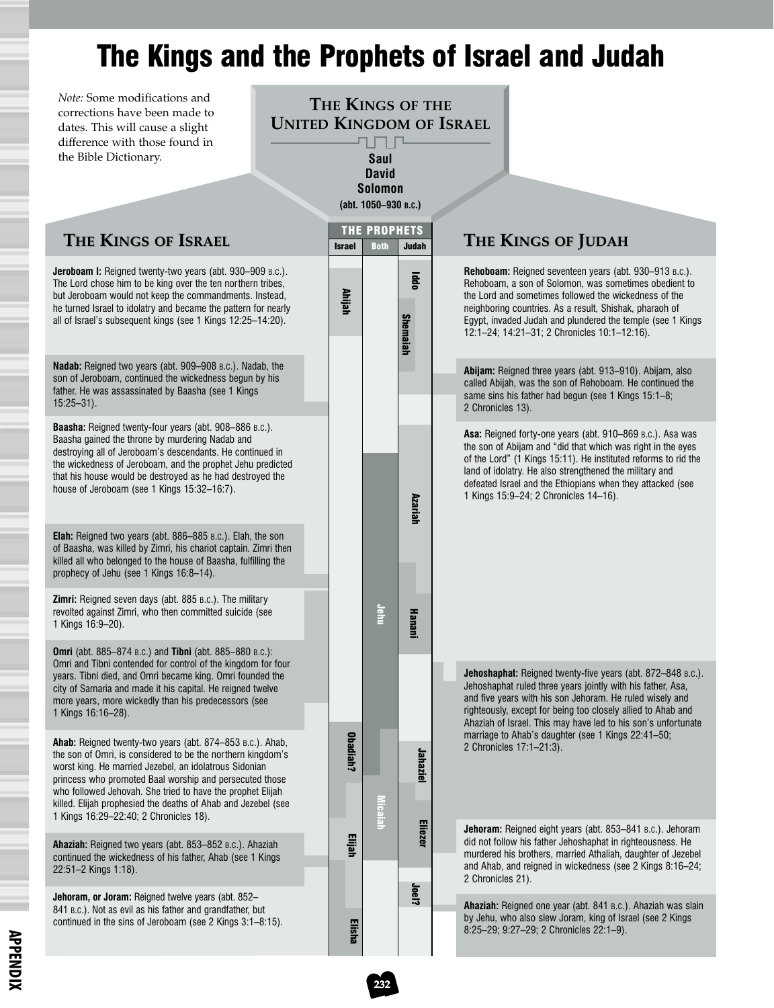## The Kings and the Prophets of Israel and Judah

*Note:* Some modifications and corrections have been made to dates. This will cause a slight difference with those found in the Bible Dictionary.

## **THE KINGS OF THE UNITED KINGDOM OF ISRAEL** ┚╝┰╝ **Saul**

**David Solomon (abt. 1050–930 B.C.)**

| Jeroboam I: Reigned twenty-two years (abt. 930–909 B.C.).<br>Rehoboam: Reigned seventeen years (abt. 930–913 B.C.).<br>lddo<br>The Lord chose him to be king over the ten northern tribes,<br>Rehoboam, a son of Solomon, was sometimes obedient to<br>Ahijah<br>but Jeroboam would not keep the commandments. Instead,<br>the Lord and sometimes followed the wickedness of the<br>he turned Israel to idolatry and became the pattern for nearly<br>neighboring countries. As a result, Shishak, pharaoh of<br><b>Shemaiah</b><br>all of Israel's subsequent kings (see 1 Kings 12:25-14:20).<br>Egypt, invaded Judah and plundered the temple (see 1 Kings<br>12:1-24; 14:21-31; 2 Chronicles 10:1-12:16).<br>Nadab: Reigned two years (abt. 909-908 B.C.). Nadab, the<br>Abijam: Reigned three years (abt. 913–910). Abijam, also<br>son of Jeroboam, continued the wickedness begun by his<br>called Abijah, was the son of Rehoboam. He continued the<br>father. He was assassinated by Baasha (see 1 Kings<br>same sins his father had begun (see 1 Kings 15:1-8;<br>$15:25 - 31$ .<br>2 Chronicles 13).<br><b>Baasha:</b> Reigned twenty-four years (abt. 908–886 B.C.).<br>Asa: Reigned forty-one years (abt. 910-869 B.c.). Asa was<br>Baasha gained the throne by murdering Nadab and<br>the son of Abijam and "did that which was right in the eyes<br>destroying all of Jeroboam's descendants. He continued in<br>of the Lord" (1 Kings 15:11). He instituted reforms to rid the<br>the wickedness of Jeroboam, and the prophet Jehu predicted<br>land of idolatry. He also strengthened the military and<br>that his house would be destroyed as he had destroyed the<br>defeated Israel and the Ethiopians when they attacked (see<br>house of Jeroboam (see 1 Kings 15:32-16:7).<br>1 Kings 15:9-24; 2 Chronicles 14-16).<br><b>Azariah</b><br><b>Elah:</b> Reigned two years (abt. 886–885 B.c.). Elah, the son<br>of Baasha, was killed by Zimri, his chariot captain. Zimri then<br>killed all who belonged to the house of Baasha, fulfilling the<br>prophecy of Jehu (see 1 Kings 16:8-14).<br><b>Zimri:</b> Reigned seven days (abt. 885 B.C.). The military<br>Jehu<br>revolted against Zimri, who then committed suicide (see<br>Hanani<br>1 Kings 16:9-20).<br><b>Omri</b> (abt. 885–874 B.c.) and <b>Tibni</b> (abt. 885–880 B.c.):<br>Omri and Tibni contended for control of the kingdom for four<br>Jehoshaphat: Reigned twenty-five years (abt. 872-848 B.C.).<br>years. Tibni died, and Omri became king. Omri founded the<br>Jehoshaphat ruled three years jointly with his father, Asa,<br>city of Samaria and made it his capital. He reigned twelve<br>and five years with his son Jehoram. He ruled wisely and<br>more years, more wickedly than his predecessors (see<br>righteously, except for being too closely allied to Ahab and<br>1 Kings 16:16-28).<br>Ahaziah of Israel. This may have led to his son's unfortunate<br>marriage to Ahab's daughter (see 1 Kings 22:41-50;<br>Obadiah?<br>Ahab: Reigned twenty-two years (abt. 874–853 B.c.). Ahab,<br>2 Chronicles 17:1-21:3).<br>Jahaziel<br>the son of Omri, is considered to be the northern kingdom's<br>worst king. He married Jezebel, an idolatrous Sidonian<br>princess who promoted Baal worship and persecuted those<br>who followed Jehovah. She tried to have the prophet Elijah<br>killed. Elijah prophesied the deaths of Ahab and Jezebel (see<br>caiah<br>1 Kings 16:29-22:40; 2 Chronicles 18).<br>Eliezer<br>Jehoram: Reigned eight years (abt. 853-841 B.C.). Jehoram<br>Elijah<br>did not follow his father Jehoshaphat in righteousness. He<br>Ahaziah: Reigned two years (abt. 853-852 B.C.). Ahaziah<br>murdered his brothers, married Athaliah, daughter of Jezebel<br>continued the wickedness of his father, Ahab (see 1 Kings)<br>and Ahab, and reigned in wickedness (see 2 Kings 8:16-24;<br>22:51-2 Kings 1:18).<br>2 Chronicles 21).<br>Joel?<br>Jehoram, or Joram: Reigned twelve years (abt. 852-<br>Ahaziah: Reigned one year (abt. 841 B.c.). Ahaziah was slain<br>841 B.C.). Not as evil as his father and grandfather, but<br>by Jehu, who also slew Joram, king of Israel (see 2 Kings<br>continued in the sins of Jeroboam (see 2 Kings 3:1-8:15).<br>Elisha<br>8:25-29; 9:27-29; 2 Chronicles 22:1-9). | <b>THE KINGS OF ISRAEL</b> |  | <b>Israel</b> | THE PROPHETS<br><b>Both</b> | <b>Judah</b> | THE KINGS OF JUDAH |
|-----------------------------------------------------------------------------------------------------------------------------------------------------------------------------------------------------------------------------------------------------------------------------------------------------------------------------------------------------------------------------------------------------------------------------------------------------------------------------------------------------------------------------------------------------------------------------------------------------------------------------------------------------------------------------------------------------------------------------------------------------------------------------------------------------------------------------------------------------------------------------------------------------------------------------------------------------------------------------------------------------------------------------------------------------------------------------------------------------------------------------------------------------------------------------------------------------------------------------------------------------------------------------------------------------------------------------------------------------------------------------------------------------------------------------------------------------------------------------------------------------------------------------------------------------------------------------------------------------------------------------------------------------------------------------------------------------------------------------------------------------------------------------------------------------------------------------------------------------------------------------------------------------------------------------------------------------------------------------------------------------------------------------------------------------------------------------------------------------------------------------------------------------------------------------------------------------------------------------------------------------------------------------------------------------------------------------------------------------------------------------------------------------------------------------------------------------------------------------------------------------------------------------------------------------------------------------------------------------------------------------------------------------------------------------------------------------------------------------------------------------------------------------------------------------------------------------------------------------------------------------------------------------------------------------------------------------------------------------------------------------------------------------------------------------------------------------------------------------------------------------------------------------------------------------------------------------------------------------------------------------------------------------------------------------------------------------------------------------------------------------------------------------------------------------------------------------------------------------------------------------------------------------------------------------------------------------------------------------------------------------------------------------------------------------------------------------------------------------------------------------------------------------------------------------------------------------------------------------------------------------------------------------------------------------------------------------------------------------------------------------------------------------------------------------------------------------------------------------------------------------------------------------------------------------------------------------------------------------------------------------------------------------------------------------------------------------------------------|----------------------------|--|---------------|-----------------------------|--------------|--------------------|
|                                                                                                                                                                                                                                                                                                                                                                                                                                                                                                                                                                                                                                                                                                                                                                                                                                                                                                                                                                                                                                                                                                                                                                                                                                                                                                                                                                                                                                                                                                                                                                                                                                                                                                                                                                                                                                                                                                                                                                                                                                                                                                                                                                                                                                                                                                                                                                                                                                                                                                                                                                                                                                                                                                                                                                                                                                                                                                                                                                                                                                                                                                                                                                                                                                                                                                                                                                                                                                                                                                                                                                                                                                                                                                                                                                                                                                                                                                                                                                                                                                                                                                                                                                                                                                                                                                                                               |                            |  |               |                             |              |                    |
|                                                                                                                                                                                                                                                                                                                                                                                                                                                                                                                                                                                                                                                                                                                                                                                                                                                                                                                                                                                                                                                                                                                                                                                                                                                                                                                                                                                                                                                                                                                                                                                                                                                                                                                                                                                                                                                                                                                                                                                                                                                                                                                                                                                                                                                                                                                                                                                                                                                                                                                                                                                                                                                                                                                                                                                                                                                                                                                                                                                                                                                                                                                                                                                                                                                                                                                                                                                                                                                                                                                                                                                                                                                                                                                                                                                                                                                                                                                                                                                                                                                                                                                                                                                                                                                                                                                                               |                            |  |               |                             |              |                    |
|                                                                                                                                                                                                                                                                                                                                                                                                                                                                                                                                                                                                                                                                                                                                                                                                                                                                                                                                                                                                                                                                                                                                                                                                                                                                                                                                                                                                                                                                                                                                                                                                                                                                                                                                                                                                                                                                                                                                                                                                                                                                                                                                                                                                                                                                                                                                                                                                                                                                                                                                                                                                                                                                                                                                                                                                                                                                                                                                                                                                                                                                                                                                                                                                                                                                                                                                                                                                                                                                                                                                                                                                                                                                                                                                                                                                                                                                                                                                                                                                                                                                                                                                                                                                                                                                                                                                               |                            |  |               |                             |              |                    |
|                                                                                                                                                                                                                                                                                                                                                                                                                                                                                                                                                                                                                                                                                                                                                                                                                                                                                                                                                                                                                                                                                                                                                                                                                                                                                                                                                                                                                                                                                                                                                                                                                                                                                                                                                                                                                                                                                                                                                                                                                                                                                                                                                                                                                                                                                                                                                                                                                                                                                                                                                                                                                                                                                                                                                                                                                                                                                                                                                                                                                                                                                                                                                                                                                                                                                                                                                                                                                                                                                                                                                                                                                                                                                                                                                                                                                                                                                                                                                                                                                                                                                                                                                                                                                                                                                                                                               |                            |  |               |                             |              |                    |
|                                                                                                                                                                                                                                                                                                                                                                                                                                                                                                                                                                                                                                                                                                                                                                                                                                                                                                                                                                                                                                                                                                                                                                                                                                                                                                                                                                                                                                                                                                                                                                                                                                                                                                                                                                                                                                                                                                                                                                                                                                                                                                                                                                                                                                                                                                                                                                                                                                                                                                                                                                                                                                                                                                                                                                                                                                                                                                                                                                                                                                                                                                                                                                                                                                                                                                                                                                                                                                                                                                                                                                                                                                                                                                                                                                                                                                                                                                                                                                                                                                                                                                                                                                                                                                                                                                                                               |                            |  |               |                             |              |                    |
|                                                                                                                                                                                                                                                                                                                                                                                                                                                                                                                                                                                                                                                                                                                                                                                                                                                                                                                                                                                                                                                                                                                                                                                                                                                                                                                                                                                                                                                                                                                                                                                                                                                                                                                                                                                                                                                                                                                                                                                                                                                                                                                                                                                                                                                                                                                                                                                                                                                                                                                                                                                                                                                                                                                                                                                                                                                                                                                                                                                                                                                                                                                                                                                                                                                                                                                                                                                                                                                                                                                                                                                                                                                                                                                                                                                                                                                                                                                                                                                                                                                                                                                                                                                                                                                                                                                                               |                            |  |               |                             |              |                    |
|                                                                                                                                                                                                                                                                                                                                                                                                                                                                                                                                                                                                                                                                                                                                                                                                                                                                                                                                                                                                                                                                                                                                                                                                                                                                                                                                                                                                                                                                                                                                                                                                                                                                                                                                                                                                                                                                                                                                                                                                                                                                                                                                                                                                                                                                                                                                                                                                                                                                                                                                                                                                                                                                                                                                                                                                                                                                                                                                                                                                                                                                                                                                                                                                                                                                                                                                                                                                                                                                                                                                                                                                                                                                                                                                                                                                                                                                                                                                                                                                                                                                                                                                                                                                                                                                                                                                               |                            |  |               |                             |              |                    |
|                                                                                                                                                                                                                                                                                                                                                                                                                                                                                                                                                                                                                                                                                                                                                                                                                                                                                                                                                                                                                                                                                                                                                                                                                                                                                                                                                                                                                                                                                                                                                                                                                                                                                                                                                                                                                                                                                                                                                                                                                                                                                                                                                                                                                                                                                                                                                                                                                                                                                                                                                                                                                                                                                                                                                                                                                                                                                                                                                                                                                                                                                                                                                                                                                                                                                                                                                                                                                                                                                                                                                                                                                                                                                                                                                                                                                                                                                                                                                                                                                                                                                                                                                                                                                                                                                                                                               |                            |  |               |                             |              |                    |
|                                                                                                                                                                                                                                                                                                                                                                                                                                                                                                                                                                                                                                                                                                                                                                                                                                                                                                                                                                                                                                                                                                                                                                                                                                                                                                                                                                                                                                                                                                                                                                                                                                                                                                                                                                                                                                                                                                                                                                                                                                                                                                                                                                                                                                                                                                                                                                                                                                                                                                                                                                                                                                                                                                                                                                                                                                                                                                                                                                                                                                                                                                                                                                                                                                                                                                                                                                                                                                                                                                                                                                                                                                                                                                                                                                                                                                                                                                                                                                                                                                                                                                                                                                                                                                                                                                                                               |                            |  |               |                             |              |                    |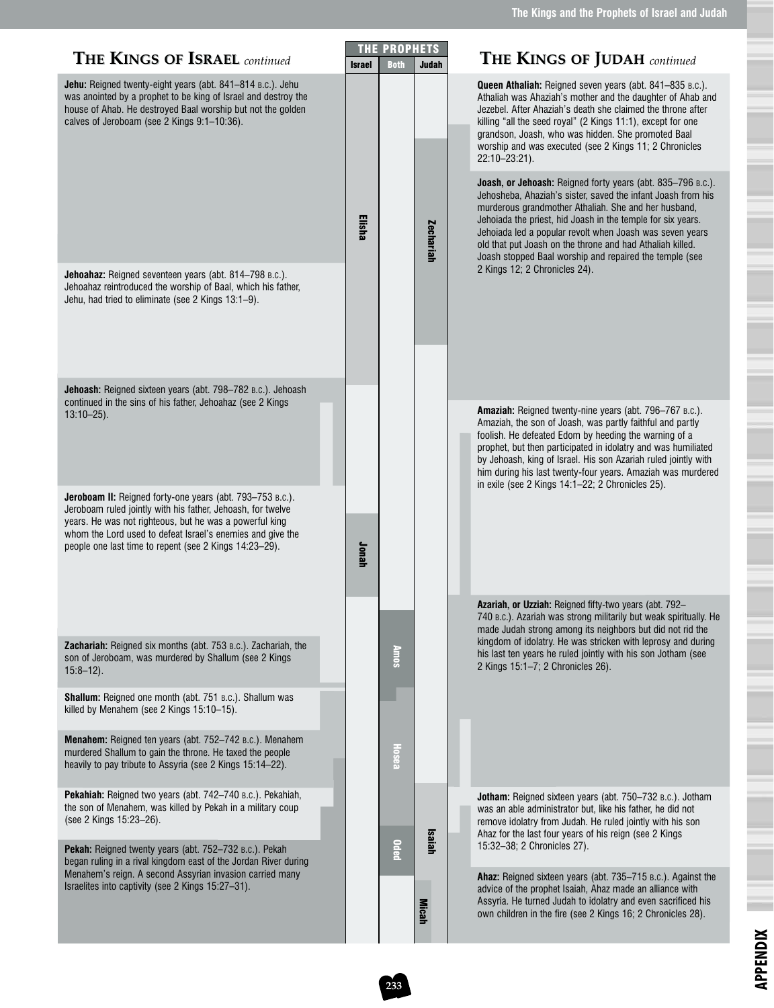| <b>THE KINGS OF ISRAEL</b> continued                                                                                                                                                                                                                                                                        | <b>Israel</b> | <b>THE PROPHETS</b><br><b>Both</b> | <b>Judah</b>     | <b>THE KINGS OF JUDAH</b> continued                                                                                                                                                                                                                                                                                                                                                                                                    |
|-------------------------------------------------------------------------------------------------------------------------------------------------------------------------------------------------------------------------------------------------------------------------------------------------------------|---------------|------------------------------------|------------------|----------------------------------------------------------------------------------------------------------------------------------------------------------------------------------------------------------------------------------------------------------------------------------------------------------------------------------------------------------------------------------------------------------------------------------------|
| Jehu: Reigned twenty-eight years (abt. 841-814 B.C.). Jehu<br>was anointed by a prophet to be king of Israel and destroy the<br>house of Ahab. He destroyed Baal worship but not the golden<br>calves of Jeroboam (see 2 Kings 9:1-10:36).                                                                  |               |                                    |                  | Queen Athaliah: Reigned seven years (abt. 841-835 B.C.).<br>Athaliah was Ahaziah's mother and the daughter of Ahab and<br>Jezebel. After Ahaziah's death she claimed the throne after<br>killing "all the seed royal" (2 Kings 11:1), except for one<br>grandson, Joash, who was hidden. She promoted Baal<br>worship and was executed (see 2 Kings 11; 2 Chronicles<br>22:10-23:21).                                                  |
|                                                                                                                                                                                                                                                                                                             | Elisha        |                                    | <b>Zechariah</b> | Joash, or Jehoash: Reigned forty years (abt. 835-796 B.C.).<br>Jehosheba, Ahaziah's sister, saved the infant Joash from his<br>murderous grandmother Athaliah. She and her husband,<br>Jehoiada the priest, hid Joash in the temple for six years.<br>Jehoiada led a popular revolt when Joash was seven years<br>old that put Joash on the throne and had Athaliah killed.<br>Joash stopped Baal worship and repaired the temple (see |
| Jehoahaz: Reigned seventeen years (abt. 814-798 B.C.).<br>Jehoahaz reintroduced the worship of Baal, which his father,<br>Jehu, had tried to eliminate (see 2 Kings 13:1-9).                                                                                                                                |               |                                    |                  | 2 Kings 12; 2 Chronicles 24).                                                                                                                                                                                                                                                                                                                                                                                                          |
| Jehoash: Reigned sixteen years (abt. 798-782 B.C.). Jehoash<br>continued in the sins of his father, Jehoahaz (see 2 Kings<br>$13:10 - 25$ ).                                                                                                                                                                |               |                                    |                  | <b>Amaziah:</b> Reigned twenty-nine years (abt. 796–767 B.C.).                                                                                                                                                                                                                                                                                                                                                                         |
|                                                                                                                                                                                                                                                                                                             |               |                                    |                  | Amaziah, the son of Joash, was partly faithful and partly<br>foolish. He defeated Edom by heeding the warning of a<br>prophet, but then participated in idolatry and was humiliated<br>by Jehoash, king of Israel. His son Azariah ruled jointly with<br>him during his last twenty-four years. Amaziah was murdered<br>in exile (see 2 Kings 14:1-22; 2 Chronicles 25).                                                               |
| Jeroboam II: Reigned forty-one years (abt. 793-753 B.C.).<br>Jeroboam ruled jointly with his father, Jehoash, for twelve<br>years. He was not righteous, but he was a powerful king<br>whom the Lord used to defeat Israel's enemies and give the<br>people one last time to repent (see 2 Kings 14:23-29). | Jonah         |                                    |                  |                                                                                                                                                                                                                                                                                                                                                                                                                                        |
|                                                                                                                                                                                                                                                                                                             |               |                                    |                  | Azariah, or Uzziah: Reigned fifty-two years (abt. 792-<br>740 B.C.). Azariah was strong militarily but weak spiritually. He<br>made Judah strong among its neighbors but did not rid the                                                                                                                                                                                                                                               |
| Zachariah: Reigned six months (abt. 753 B.C.). Zachariah, the<br>son of Jeroboam, was murdered by Shallum (see 2 Kings<br>$15:8 - 12$ ).                                                                                                                                                                    |               | <b>Annos</b>                       |                  | kingdom of idolatry. He was stricken with leprosy and during<br>his last ten years he ruled jointly with his son Jotham (see<br>2 Kings 15:1-7; 2 Chronicles 26).                                                                                                                                                                                                                                                                      |
| Shallum: Reigned one month (abt. 751 B.C.). Shallum was<br>killed by Menahem (see 2 Kings 15:10-15).                                                                                                                                                                                                        |               |                                    |                  |                                                                                                                                                                                                                                                                                                                                                                                                                                        |
| Menahem: Reigned ten years (abt. 752-742 B.C.). Menahem<br>murdered Shallum to gain the throne. He taxed the people<br>heavily to pay tribute to Assyria (see 2 Kings 15:14-22).                                                                                                                            |               | <b>Hosea</b>                       |                  |                                                                                                                                                                                                                                                                                                                                                                                                                                        |
| Pekahiah: Reigned two years (abt. 742-740 B.C.). Pekahiah,<br>the son of Menahem, was killed by Pekah in a military coup<br>(see 2 Kings 15:23-26).                                                                                                                                                         |               |                                    | <b>Isaiah</b>    | Jotham: Reigned sixteen years (abt. 750-732 B.C.). Jotham<br>was an able administrator but, like his father, he did not<br>remove idolatry from Judah. He ruled jointly with his son<br>Ahaz for the last four years of his reign (see 2 Kings                                                                                                                                                                                         |
| Pekah: Reigned twenty years (abt. 752-732 B.C.). Pekah<br>began ruling in a rival kingdom east of the Jordan River during<br>Menahem's reign. A second Assyrian invasion carried many                                                                                                                       |               | <b>Oded</b>                        |                  | 15:32-38; 2 Chronicles 27).                                                                                                                                                                                                                                                                                                                                                                                                            |
| Israelites into captivity (see 2 Kings 15:27-31).                                                                                                                                                                                                                                                           |               |                                    | <b>Micah</b>     | Ahaz: Reigned sixteen years (abt. 735–715 B.C.). Against the<br>advice of the prophet Isaiah, Ahaz made an alliance with<br>Assyria. He turned Judah to idolatry and even sacrificed his<br>own children in the fire (see 2 Kings 16; 2 Chronicles 28).                                                                                                                                                                                |

**233**

**APPENDIX**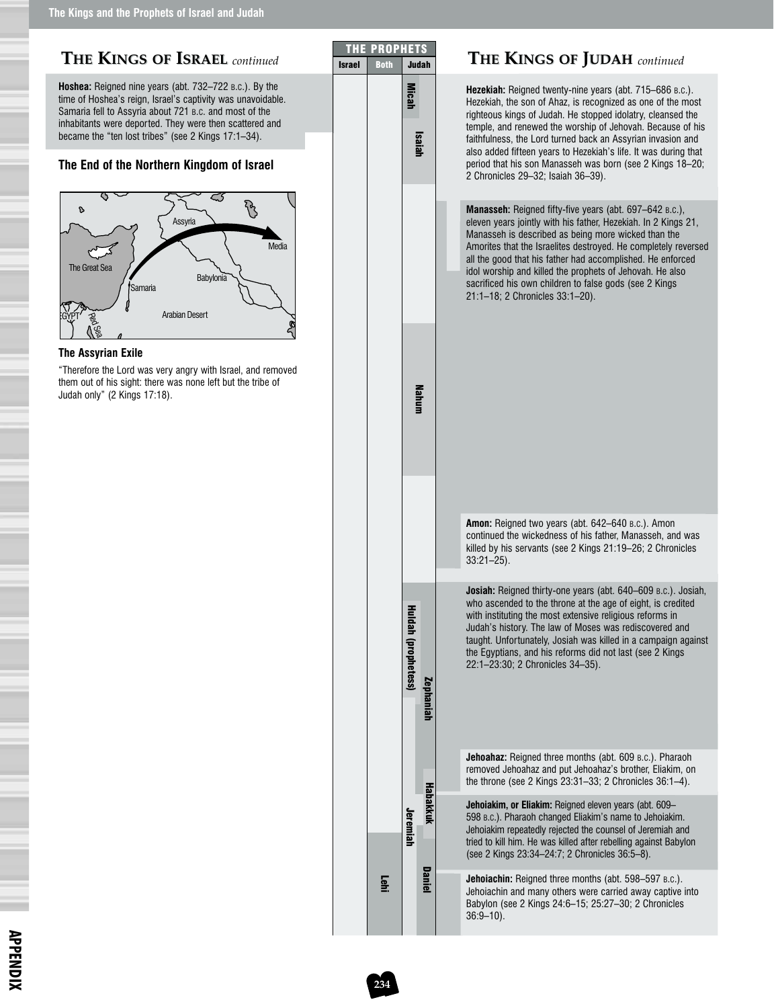| THE KINGS OF ISRAEL continued                                                                                                                                                                                                                                                                     | <b>THE</b><br><b>Israel</b> | <b>PROPHETS</b><br><b>Both</b> |                            | <b>Judah</b>    | <b>THE KINGS OF JUDAH</b> continued                                                                                                                                                                                                                                                                                                                                                                                                                                       |
|---------------------------------------------------------------------------------------------------------------------------------------------------------------------------------------------------------------------------------------------------------------------------------------------------|-----------------------------|--------------------------------|----------------------------|-----------------|---------------------------------------------------------------------------------------------------------------------------------------------------------------------------------------------------------------------------------------------------------------------------------------------------------------------------------------------------------------------------------------------------------------------------------------------------------------------------|
| Hoshea: Reigned nine years (abt. 732-722 B.C.). By the<br>time of Hoshea's reign, Israel's captivity was unavoidable.<br>Samaria fell to Assyria about 721 B.C. and most of the<br>inhabitants were deported. They were then scattered and<br>became the "ten lost tribes" (see 2 Kings 17:1-34). |                             |                                | <b>Micah</b>               | <b>Isaiah</b>   | Hezekiah: Reigned twenty-nine years (abt. 715–686 B.C.).<br>Hezekiah, the son of Ahaz, is recognized as one of the most<br>righteous kings of Judah. He stopped idolatry, cleansed the<br>temple, and renewed the worship of Jehovah. Because of his<br>faithfulness, the Lord turned back an Assyrian invasion and<br>also added fifteen years to Hezekiah's life. It was during that                                                                                    |
| The End of the Northern Kingdom of Israel                                                                                                                                                                                                                                                         |                             |                                |                            |                 | period that his son Manasseh was born (see 2 Kings 18-20;<br>2 Chronicles 29-32; Isaiah 36-39).                                                                                                                                                                                                                                                                                                                                                                           |
| PS<br>d<br>Assyria<br>Media<br>The Great Sea<br><b>Babylonia</b><br>Samaria<br><b>Arabian Desert</b>                                                                                                                                                                                              |                             |                                |                            |                 | Manasseh: Reigned fifty-five years (abt. 697-642 B.C.),<br>eleven years jointly with his father, Hezekiah. In 2 Kings 21,<br>Manasseh is described as being more wicked than the<br>Amorites that the Israelites destroyed. He completely reversed<br>all the good that his father had accomplished. He enforced<br>idol worship and killed the prophets of Jehovah. He also<br>sacrificed his own children to false gods (see 2 Kings<br>21:1-18; 2 Chronicles 33:1-20). |
| <b>The Assyrian Exile</b><br>"Therefore the Lord was very angry with Israel, and removed                                                                                                                                                                                                          |                             |                                |                            |                 |                                                                                                                                                                                                                                                                                                                                                                                                                                                                           |
| them out of his sight: there was none left but the tribe of<br>Judah only" (2 Kings 17:18).                                                                                                                                                                                                       |                             |                                |                            | <b>Mahum</b>    |                                                                                                                                                                                                                                                                                                                                                                                                                                                                           |
|                                                                                                                                                                                                                                                                                                   |                             |                                |                            |                 | Amon: Reigned two years (abt. 642-640 B.c.). Amon<br>continued the wickedness of his father, Manasseh, and was<br>killed by his servants (see 2 Kings 21:19–26; 2 Chronicles<br>$33:21 - 25$ ).                                                                                                                                                                                                                                                                           |
|                                                                                                                                                                                                                                                                                                   |                             |                                | <b>Huldah (prophetess)</b> | Zephaniah       | Josiah: Reigned thirty-one years (abt. 640-609 B.C.). Josiah,<br>who ascended to the throne at the age of eight, is credited<br>with instituting the most extensive religious reforms in<br>Judah's history. The law of Moses was rediscovered and<br>taught. Unfortunately, Josiah was killed in a campaign against<br>the Egyptians, and his reforms did not last (see 2 Kings)<br>22:1-23:30; 2 Chronicles 34-35).                                                     |
|                                                                                                                                                                                                                                                                                                   |                             |                                |                            |                 | <b>Jehoahaz:</b> Reigned three months (abt. 609 B.C.). Pharaoh<br>removed Jehoahaz and put Jehoahaz's brother, Eliakim, on<br>the throne (see 2 Kings $23:31-33$ ; 2 Chronicles $36:1-4$ ).                                                                                                                                                                                                                                                                               |
|                                                                                                                                                                                                                                                                                                   |                             |                                | Jeremiah                   | <b>Habakkuk</b> | Jehoiakim, or Eliakim: Reigned eleven years (abt. 609-<br>598 B.C.). Pharaoh changed Eliakim's name to Jehoiakim.<br>Jehoiakim repeatedly rejected the counsel of Jeremiah and<br>tried to kill him. He was killed after rebelling against Babylon<br>(see 2 Kings 23:34-24:7; 2 Chronicles 36:5-8).                                                                                                                                                                      |
|                                                                                                                                                                                                                                                                                                   |                             | <b>Tehl</b>                    |                            | <b>Daniel</b>   | Jehoiachin: Reigned three months (abt. 598-597 B.C.).<br>Jehoiachin and many others were carried away captive into<br>Babylon (see 2 Kings 24:6-15; 25:27-30; 2 Chronicles<br>$36:9 - 10$ ).                                                                                                                                                                                                                                                                              |

**234**